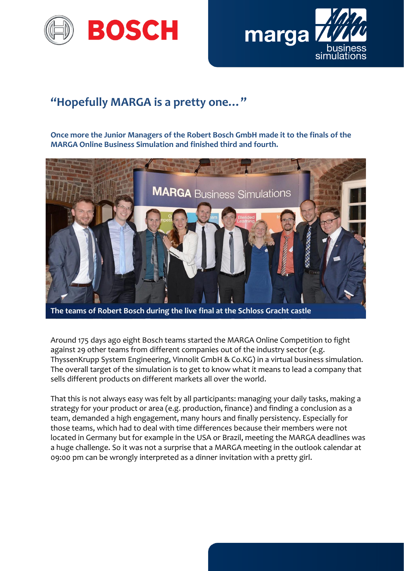



## **"Hopefully MARGA is a pretty one…"**

**Once more the Junior Managers of the Robert Bosch GmbH made it to the finals of the MARGA Online Business Simulation and finished third and fourth.**



**The teams of Robert Bosch during the live final at the Schloss Gracht castle**

Around 175 days ago eight Bosch teams started the MARGA Online Competition to fight against 29 other teams from different companies out of the industry sector (e.g. ThyssenKrupp System Engineering, Vinnolit GmbH & Co.KG) in a virtual business simulation. The overall target of the simulation is to get to know what it means to lead a company that sells different products on different markets all over the world.

That this is not always easy was felt by all participants: managing your daily tasks, making a strategy for your product or area (e.g. production, finance) and finding a conclusion as a team, demanded a high engagement, many hours and finally persistency. Especially for those teams, which had to deal with time differences because their members were not located in Germany but for example in the USA or Brazil, meeting the MARGA deadlines was a huge challenge. So it was not a surprise that a MARGA meeting in the outlook calendar at 09:00 pm can be wrongly interpreted as a dinner invitation with a pretty girl.